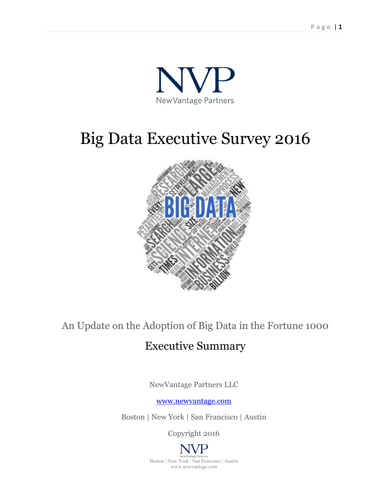

# Big Data Executive Survey 2016



## An Update on the Adoption of Big Data in the Fortune 1000

## Executive Summary

NewVantage Partners LLC

[www.newvantage.com](http://www.newvantage.com/)

Boston | New York | San Francisco | Austin

Copyright 2016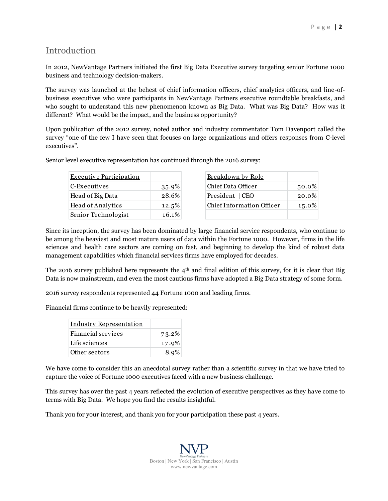#### Introduction

In 2012, NewVantage Partners initiated the first Big Data Executive survey targeting senior Fortune 1000 business and technology decision-makers.

The survey was launched at the behest of chief information officers, chief analytics officers, and line-ofbusiness executives who were participants in NewVantage Partners executive roundtable breakfasts, and who sought to understand this new phenomenon known as Big Data. What was Big Data? How was it different? What would be the impact, and the business opportunity?

Upon publication of the 2012 survey, noted author and industry commentator Tom Davenport called the survey "one of the few I have seen that focuses on large organizations and offers responses from C-level executives".

Senior level executive representation has continued through the 2016 survey:

| <b>Executive Participation</b> |          | Breakdown by Role                |       |
|--------------------------------|----------|----------------------------------|-------|
| C-Executives                   | 35.9%    | Chief Data Officer               | 50.0% |
| Head of Big Data               | 28.6%    | President   CEO                  | 20.0% |
| Head of Analytics              | 12.5%    | <b>Chief Information Officer</b> | 15.0% |
| Senior Technologist            | $16.1\%$ |                                  |       |
|                                |          |                                  |       |

Since its inception, the survey has been dominated by large financial service respondents, who continue to be among the heaviest and most mature users of data within the Fortune 1000. However, firms in the life sciences and health care sectors are coming on fast, and beginning to develop the kind of robust data management capabilities which financial services firms have employed for decades.

The 2016 survey published here represents the  $4<sup>th</sup>$  and final edition of this survey, for it is clear that Big Data is now mainstream, and even the most cautious firms have adopted a Big Data strategy of some form.

2016 survey respondents represented 44 Fortune 1000 and leading firms.

Financial firms continue to be heavily represented:

| <b>Industry Representation</b> |       |
|--------------------------------|-------|
| Financial services             | 73.2% |
| Life sciences                  | 17.9% |
| Other sectors                  | 8.9%  |

We have come to consider this an anecdotal survey rather than a scientific survey in that we have tried to capture the voice of Fortune 1000 executives faced with a new business challenge.

This survey has over the past 4 years reflected the evolution of executive perspectives as they have come to terms with Big Data. We hope you find the results insightful.

Thank you for your interest, and thank you for your participation these past 4 years.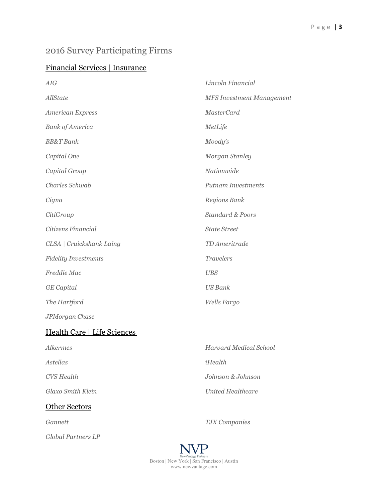## 2016 Survey Participating Firms

### Financial Services | Insurance

| <b>AIG</b>                  | Lincoln Financial                |
|-----------------------------|----------------------------------|
| AllState                    | <b>MFS Investment Management</b> |
| American Express            | <b>MasterCard</b>                |
| <b>Bank</b> of America      | MetLife                          |
| <b>BB&amp;T</b> Bank        | Moody's                          |
| Capital One                 | Morgan Stanley                   |
| Capital Group               | Nationwide                       |
| Charles Schwab              | <b>Putnam Investments</b>        |
| Cigna                       | Regions Bank                     |
| CitiGroup                   | <b>Standard &amp; Poors</b>      |
| Citizens Financial          | <b>State Street</b>              |
| CLSA   Cruickshank Laing    | TD Ameritrade                    |
| <b>Fidelity Investments</b> | <b>Travelers</b>                 |
| Freddie Mac                 | <b>UBS</b>                       |
| <b>GE</b> Capital           | <b>US Bank</b>                   |
| The Hartford                | Wells Fargo                      |
| JPMorgan Chase              |                                  |
| Health Care   Life Sciences |                                  |
| <b>Alkermes</b>             | <b>Harvard Medical School</b>    |
| <b>Astellas</b>             | iHealth                          |
| <b>CVS</b> Health           | Johnson & Johnson                |
| Glaxo Smith Klein           | <b>United Healthcare</b>         |

## Other Sectors

*Global Partners LP*

*Gannett TJX Companies*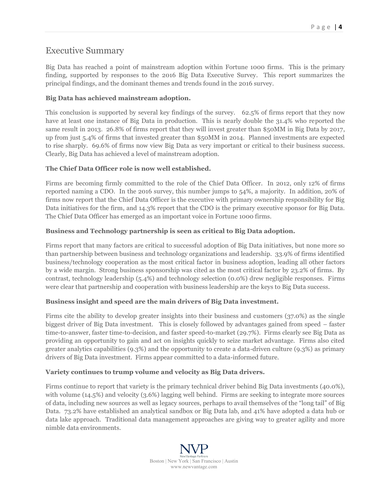#### Executive Summary

Big Data has reached a point of mainstream adoption within Fortune 1000 firms. This is the primary finding, supported by responses to the 2016 Big Data Executive Survey. This report summarizes the principal findings, and the dominant themes and trends found in the 2016 survey.

#### **Big Data has achieved mainstream adoption.**

This conclusion is supported by several key findings of the survey. 62.5% of firms report that they now have at least one instance of Big Data in production. This is nearly double the 31.4% who reported the same result in 2013. 26.8% of firms report that they will invest greater than \$50MM in Big Data by 2017, up from just 5.4% of firms that invested greater than \$50MM in 2014. Planned investments are expected to rise sharply. 69.6% of firms now view Big Data as very important or critical to their business success. Clearly, Big Data has achieved a level of mainstream adoption.

#### **The Chief Data Officer role is now well established.**

Firms are becoming firmly committed to the role of the Chief Data Officer. In 2012, only 12% of firms reported naming a CDO. In the 2016 survey, this number jumps to 54%, a majority. In addition, 20% of firms now report that the Chief Data Officer is the executive with primary ownership responsibility for Big Data initiatives for the firm, and 14.3% report that the CDO is the primary executive sponsor for Big Data. The Chief Data Officer has emerged as an important voice in Fortune 1000 firms.

#### **Business and Technology partnership is seen as critical to Big Data adoption.**

Firms report that many factors are critical to successful adoption of Big Data initiatives, but none more so than partnership between business and technology organizations and leadership. 33.9% of firms identified business/technology cooperation as the most critical factor in business adoption, leading all other factors by a wide margin. Strong business sponsorship was cited as the most critical factor by 23.2% of firms. By contrast, technology leadership (5.4%) and technology selection (0.0%) drew negligible responses. Firms were clear that partnership and cooperation with business leadership are the keys to Big Data success.

#### **Business insight and speed are the main drivers of Big Data investment.**

Firms cite the ability to develop greater insights into their business and customers (37.0%) as the single biggest driver of Big Data investment. This is closely followed by advantages gained from speed – faster time-to-answer, faster time-to-decision, and faster speed-to-market (29.7%). Firms clearly see Big Data as providing an opportunity to gain and act on insights quickly to seize market advantage. Firms also cited greater analytics capabilities (9.3%) and the opportunity to create a data-driven culture (9.3%) as primary drivers of Big Data investment. Firms appear committed to a data-informed future.

#### **Variety continues to trump volume and velocity as Big Data drivers.**

Firms continue to report that variety is the primary technical driver behind Big Data investments (40.0%), with volume (14.5%) and velocity (3.6%) lagging well behind. Firms are seeking to integrate more sources of data, including new sources as well as legacy sources, perhaps to avail themselves of the "long tail" of Big Data. 73.2% have established an analytical sandbox or Big Data lab, and 41% have adopted a data hub or data lake approach. Traditional data management approaches are giving way to greater agility and more nimble data environments.

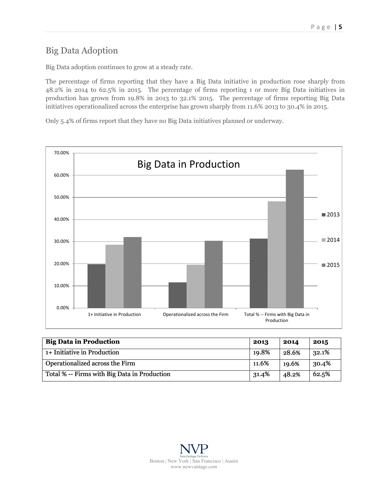## Big Data Adoption

Big Data adoption continues to grow at a steady rate.

The percentage of firms reporting that they have a Big Data initiative in production rose sharply from 48.2% in 2014 to 62.5% in 2015. The percentage of firms reporting 1 or more Big Data initiatives in production has grown from 19.8% in 2013 to 32.1% 2015. The percentage of firms reporting Big Data initiatives operationalized across the enterprise has grown sharply from 11.6% 2013 to 30.4% in 2015.

Only 5.4% of firms report that they have no Big Data initiatives planned or underway.



| <b>Big Data in Production</b>                | 2013  | 2014  | 2015  |
|----------------------------------------------|-------|-------|-------|
| 1+ Initiative in Production                  | 19.8% | 28.6% | 32.1% |
| Operationalized across the Firm              | 11.6% | 19.6% | 30.4% |
| Total % -- Firms with Big Data in Production | 31.4% | 48.2% | 62.5% |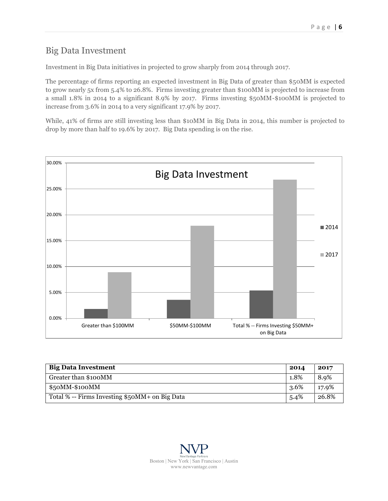#### Big Data Investment

Investment in Big Data initiatives in projected to grow sharply from 2014 through 2017.

The percentage of firms reporting an expected investment in Big Data of greater than \$50MM is expected to grow nearly 5x from 5.4% to 26.8%. Firms investing greater than \$100MM is projected to increase from a small 1.8% in 2014 to a significant 8.9% by 2017. Firms investing \$50MM-\$100MM is projected to increase from 3.6% in 2014 to a very significant 17.9% by 2017.

While, 41% of firms are still investing less than \$10MM in Big Data in 2014, this number is projected to drop by more than half to 19.6% by 2017. Big Data spending is on the rise.



| <b>Big Data Investment</b>                     | 2014 | 2017  |
|------------------------------------------------|------|-------|
| Greater than \$100MM                           | 1.8% | 8.9%  |
| $$50MM-$100MM$                                 | 3.6% | 17.9% |
| Total % -- Firms Investing \$50MM+ on Big Data | 5.4% | 26.8% |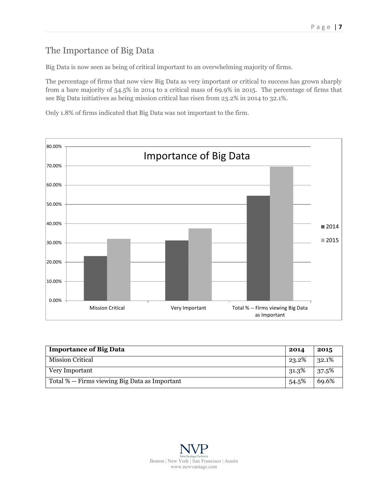### The Importance of Big Data

Big Data is now seen as being of critical important to an overwhelming majority of firms.

The percentage of firms that now view Big Data as very important or critical to success has grown sharply from a bare majority of 54.5% in 2014 to a critical mass of 69.9% in 2015. The percentage of firms that see Big Data initiatives as being mission critical has risen from 23.2% in 2014 to 32.1%.

Only 1.8% of firms indicated that Big Data was not important to the firm.



| <b>Importance of Big Data</b>                  | 2014  | 2015  |
|------------------------------------------------|-------|-------|
| <b>Mission Critical</b>                        | 23.2% | 32.1% |
| Very Important                                 | 31.3% | 37.5% |
| Total % -- Firms viewing Big Data as Important | 54.5% | 69.6% |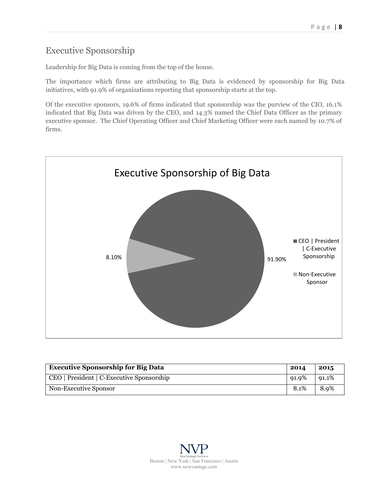## Executive Sponsorship

Leadership for Big Data is coming from the top of the house.

The importance which firms are attributing to Big Data is evidenced by sponsorship for Big Data initiatives, with 91.9% of organizations reporting that sponsorship starts at the top.

Of the executive sponsors, 19.6% of firms indicated that sponsorship was the purview of the CIO, 16.1% indicated that Big Data was driven by the CEO, and 14.3% named the Chief Data Officer as the primary executive sponsor. The Chief Operating Officer and Chief Marketing Officer were each named by 10.7% of firms.



| <b>Executive Sponsorship for Big Data</b> | 2014  | 2015  |
|-------------------------------------------|-------|-------|
| CEO   President   C-Executive Sponsorship | 91.9% | 91.1% |
| Non-Executive Sponsor                     | 8.1%  | 8.9%  |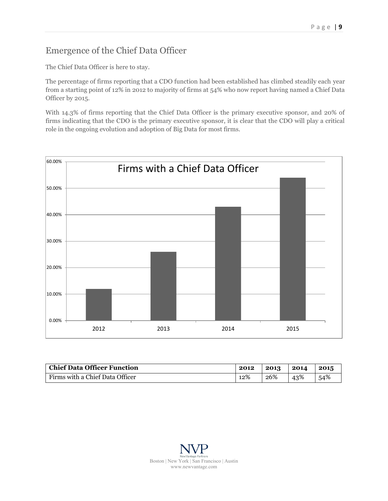## Emergence of the Chief Data Officer

The Chief Data Officer is here to stay.

The percentage of firms reporting that a CDO function had been established has climbed steadily each year from a starting point of 12% in 2012 to majority of firms at 54% who now report having named a Chief Data Officer by 2015.

With 14.3% of firms reporting that the Chief Data Officer is the primary executive sponsor, and 20% of firms indicating that the CDO is the primary executive sponsor, it is clear that the CDO will play a critical role in the ongoing evolution and adoption of Big Data for most firms.



| <b>Chief Data Officer Function</b> | 2012 | 2013 | 2014 | 2015 |
|------------------------------------|------|------|------|------|
| Firms with a Chief Data Officer    | 12%  | 26%  | 43%  | 54%  |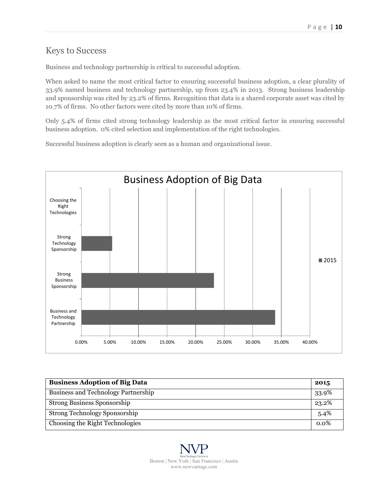#### Keys to Success

Business and technology partnership is critical to successful adoption.

When asked to name the most critical factor to ensuring successful business adoption, a clear plurality of 33.9% named business and technology partnership, up from 23.4% in 2013. Strong business leadership and sponsorship was cited by 23.2% of firms. Recognition that data is a shared corporate asset was cited by 10.7% of firms. No other factors were cited by more than 10% of firms.

Only 5.4% of firms cited strong technology leadership as the most critical factor in ensuring successful business adoption. 0% cited selection and implementation of the right technologies.

Successful business adoption is clearly seen as a human and organizational issue.



| <b>Business Adoption of Big Data</b>       | 2015  |
|--------------------------------------------|-------|
| <b>Business and Technology Partnership</b> | 33.9% |
| <b>Strong Business Sponsorship</b>         | 23.2% |
| Strong Technology Sponsorship              | 5.4%  |
| Choosing the Right Technologies            | 0.0%  |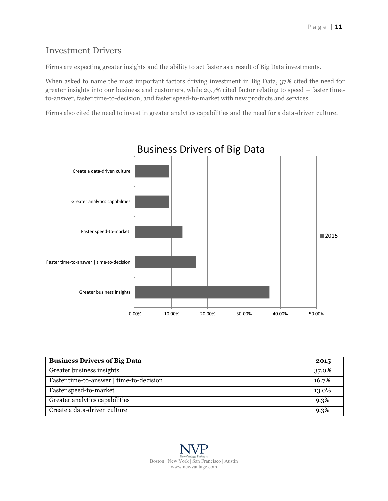### Investment Drivers

Firms are expecting greater insights and the ability to act faster as a result of Big Data investments.

When asked to name the most important factors driving investment in Big Data, 37% cited the need for greater insights into our business and customers, while 29.7% cited factor relating to speed – faster timeto-answer, faster time-to-decision, and faster speed-to-market with new products and services.

Firms also cited the need to invest in greater analytics capabilities and the need for a data-driven culture.



| <b>Business Drivers of Big Data</b>      | 2015  |
|------------------------------------------|-------|
| Greater business insights                | 37.0% |
| Faster time-to-answer   time-to-decision | 16.7% |
| Faster speed-to-market                   | 13.0% |
| Greater analytics capabilities           | 9.3%  |
| Create a data-driven culture             | 9.3%  |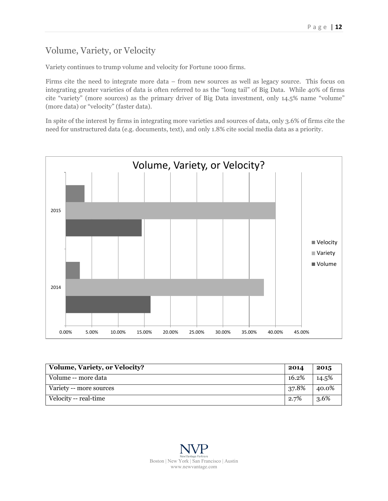## Volume, Variety, or Velocity

Variety continues to trump volume and velocity for Fortune 1000 firms.

Firms cite the need to integrate more data – from new sources as well as legacy source. This focus on integrating greater varieties of data is often referred to as the "long tail" of Big Data. While 40% of firms cite "variety" (more sources) as the primary driver of Big Data investment, only 14.5% name "volume" (more data) or "velocity" (faster data).

In spite of the interest by firms in integrating more varieties and sources of data, only 3.6% of firms cite the need for unstructured data (e.g. documents, text), and only 1.8% cite social media data as a priority.



| <b>Volume, Variety, or Velocity?</b> | 2014  | 2015  |
|--------------------------------------|-------|-------|
| Volume -- more data                  | 16.2% | 14.5% |
| Variety -- more sources              | 37.8% | 40.0% |
| Velocity -- real-time                | 2.7%  | 3.6%  |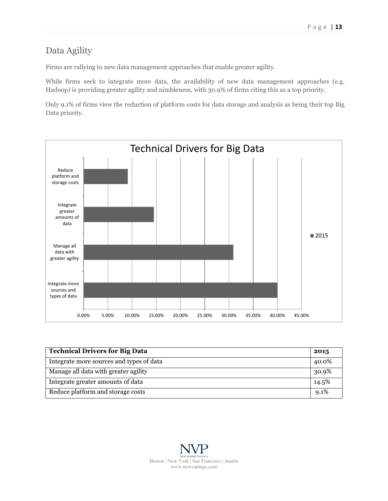## Data Agility

Firms are rallying to new data management approaches that enable greater agility.

While firms seek to integrate more data, the availability of new data management approaches (e.g. Hadoop) is providing greater agility and nimbleness, with 30.9% of firms citing this as a top priority.

Only 9.1% of firms view the reduction of platform costs for data storage and analysis as being their top Big Data priority.



| <b>Technical Drivers for Big Data</b>    | 2015    |
|------------------------------------------|---------|
| Integrate more sources and types of data | 40.0%   |
| Manage all data with greater agility     | 30.9%   |
| Integrate greater amounts of data        | 14.5%   |
| Reduce platform and storage costs        | $9.1\%$ |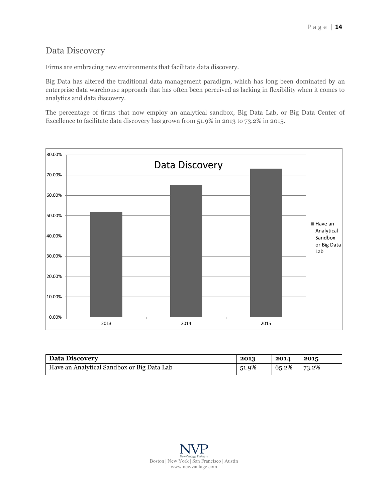### Data Discovery

Firms are embracing new environments that facilitate data discovery.

Big Data has altered the traditional data management paradigm, which has long been dominated by an enterprise data warehouse approach that has often been perceived as lacking in flexibility when it comes to analytics and data discovery.

The percentage of firms that now employ an analytical sandbox, Big Data Lab, or Big Data Center of Excellence to facilitate data discovery has grown from 51.9% in 2013 to 73.2% in 2015.



| <b>Data Discovery</b>                      | 2013  | 2014            | 2015 |
|--------------------------------------------|-------|-----------------|------|
| Have an Analytical Sandbox or Big Data Lab | 51.9% | $65.2\%$ 73.2\% |      |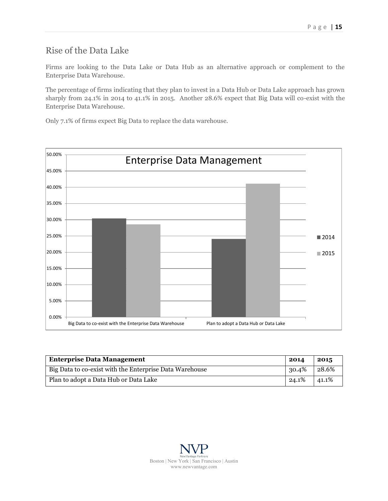## Rise of the Data Lake

Firms are looking to the Data Lake or Data Hub as an alternative approach or complement to the Enterprise Data Warehouse.

The percentage of firms indicating that they plan to invest in a Data Hub or Data Lake approach has grown sharply from 24.1% in 2014 to 41.1% in 2015. Another 28.6% expect that Big Data will co-exist with the Enterprise Data Warehouse.

Only 7.1% of firms expect Big Data to replace the data warehouse.



| <b>Enterprise Data Management</b>                       | 2014  | 2015  |
|---------------------------------------------------------|-------|-------|
| Big Data to co-exist with the Enterprise Data Warehouse | 30.4% | 28.6% |
| Plan to adopt a Data Hub or Data Lake                   | 24.1% | 41.1% |